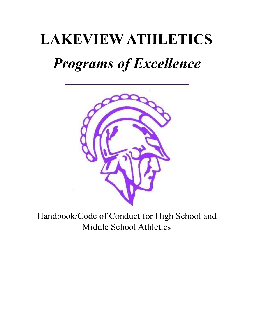# **LAKEVIEW ATHLETICS** *Programs of Excellence*



Handbook/Code of Conduct for High School and Middle School Athletics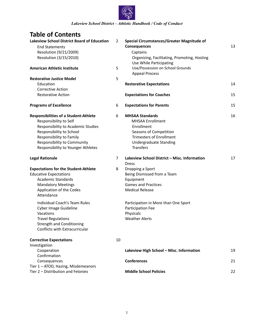

## **Table of Contents**

| <b>Lakeview School District Board of Education</b> | 2  | <b>Special Circumstances/Greater Magnitude of</b> |    |  |  |
|----------------------------------------------------|----|---------------------------------------------------|----|--|--|
| <b>End Statements</b>                              |    | <b>Consequences</b>                               | 13 |  |  |
| Resolution (9/21/2009)                             |    | Captains                                          |    |  |  |
| Resolution (3/15/2010)                             |    | Organizing, Facilitating, Promoting, Hosting      |    |  |  |
|                                                    |    | Use While Participating                           |    |  |  |
| <b>American Athletic Institute</b>                 |    | Use/Possession on School Grounds                  |    |  |  |
|                                                    |    | <b>Appeal Process</b>                             |    |  |  |
| <b>Restorative Justice Model</b>                   | 5  |                                                   |    |  |  |
| Education                                          |    | <b>Restorative Expectations</b>                   | 14 |  |  |
| <b>Corrective Action</b>                           |    |                                                   |    |  |  |
| <b>Restorative Action</b>                          |    | <b>Expectations for Coaches</b>                   | 15 |  |  |
| <b>Programs of Excellence</b>                      | 6  | <b>Expectations for Parents</b>                   | 15 |  |  |
| <b>Responsibilities of a Student-Athlete</b>       | 6  | <b>MHSAA Standards</b>                            | 16 |  |  |
| Responsibility to Self                             |    | <b>MHSAA Enrollment</b>                           |    |  |  |
| Responsibility to Academic Studies                 |    | Enrollment                                        |    |  |  |
| Responsibility to School                           |    | Seasons of Competition                            |    |  |  |
| Responsibility to Family                           |    | <b>Trimesters of Enrollment</b>                   |    |  |  |
| Responsibility to Community                        |    | Undergraduate Standing                            |    |  |  |
| Responsibility to Younger Athletes                 |    | <b>Transfers</b>                                  |    |  |  |
| <b>Legal Rationale</b>                             | 7  | Lakeview School District - Misc. Information      | 17 |  |  |
|                                                    |    | <b>Dress</b>                                      |    |  |  |
| <b>Expectations for the Student-Athlete</b>        | 8  | Dropping a Sport                                  |    |  |  |
| <b>Educative Expectations</b>                      |    | Being Dismissed from a Team                       |    |  |  |
| <b>Academic Standards</b>                          |    | Equipment<br><b>Games and Practices</b>           |    |  |  |
| <b>Mandatory Meetings</b>                          |    | <b>Medical Release</b>                            |    |  |  |
| Application of the Codes<br>Attendance             |    |                                                   |    |  |  |
| <b>Individual Coach's Team Rules</b>               |    | Participation in More than One Sport              |    |  |  |
| Cyber Image Guideline                              |    | Participation Fee                                 |    |  |  |
| Vacations                                          |    | Physicals                                         |    |  |  |
| <b>Travel Regulations</b>                          |    | <b>Weather Alerts</b>                             |    |  |  |
| <b>Strength and Conditioning</b>                   |    |                                                   |    |  |  |
| Conflicts with Extracurricular                     |    |                                                   |    |  |  |
| <b>Corrective Expectations</b>                     | 10 |                                                   |    |  |  |
| Investigation                                      |    |                                                   |    |  |  |
| Cooperation                                        |    | Lakeview High School - Misc. Information          | 19 |  |  |
| Confirmation                                       |    |                                                   |    |  |  |
| Consequences                                       |    | Conferences                                       | 21 |  |  |
| Tier 1 - ATOD, Hazing, Misdemeanors                |    |                                                   |    |  |  |
| Tier 2 - Distribution and Felonies                 |    | <b>Middle School Policies</b>                     | 22 |  |  |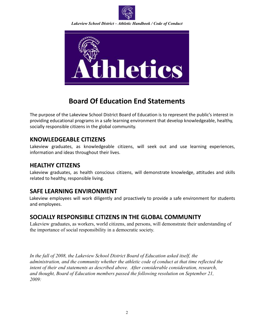



## **Board Of Education End Statements**

The purpose of the Lakeview School District Board of Education is to represent the public's interest in providing educational programs in a safe learning environment that develop knowledgeable, healthy, socially responsible citizens in the global community.

## **KNOWLEDGEABLE CITIZENS**

Lakeview graduates, as knowledgeable citizens, will seek out and use learning experiences, information and ideas throughout their lives.

## **HEALTHY CITIZENS**

Lakeview graduates, as health conscious citizens, will demonstrate knowledge, attitudes and skills related to healthy, responsible living.

## **SAFE LEARNING ENVIRONMENT**

Lakeview employees will work diligently and proactively to provide a safe environment for students and employees.

## **SOCIALLY RESPONSIBLE CITIZENS IN THE GLOBAL COMMUNITY**

Lakeview graduates, as workers, world citizens, and persons, will demonstrate their understanding of the importance of social responsibility in a democratic society.

*In the fall of 2008, the Lakeview School District Board of Education asked itself, the administration, and the community whether the athletic code of conduct at that time reflected the intent of their end statements as described above. After considerable consideration, research, and thought, Board of Education members passed the following resolution on September 21, 2009:*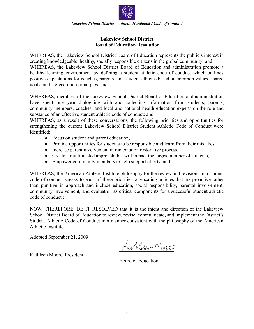

#### **Lakeview School District Board of Education Resolution**

WHEREAS, the Lakeview School District Board of Education represents the public's interest in creating knowledgeable, healthy, socially responsible citizens in the global community; and WHEREAS, the Lakeview School District Board of Education and administration promote a healthy learning environment by defining a student athletic code of conduct which outlines positive expectations for coaches, parents, and student-athletes based on common values, shared goals, and agreed upon principles; and

WHEREAS, members of the Lakeview School District Board of Education and administration have spent one year dialoguing with and collecting information from students, parents, community members, coaches, and local and national health education experts on the role and substance of an effective student athletic code of conduct; and

WHEREAS, as a result of these conversations, the following priorities and opportunities for strengthening the current Lakeview School District Student Athletic Code of Conduct were identified:

- Focus on student and parent education,
- Provide opportunities for students to be responsible and learn from their mistakes,
- Increase parent involvement in remediation restorative process,
- Create a multifaceted approach that will impact the largest number of students,
- Empower community members to help support efforts; and

WHEREAS, the American Athletic Institute philosophy for the review and revisions of a student code of conduct speaks to each of these priorities, advocating policies that are proactive rather than punitive in approach and include education, social responsibility, parental involvement, community involvement, and evaluation as critical components for a successful student athletic code of conduct ;

NOW, THEREFORE, BE IT RESOLVED that it is the intent and direction of the Lakeview School District Board of Education to review, revise, communicate, and implement the District's Student Athletic Code of Conduct in a manner consistent with the philosophy of the American Athletic Institute.

Adopted September 21, 2009

Kathleen Moore, President

athleen Moore

Board of Education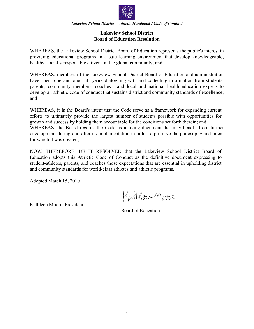

#### **Lakeview School District Board of Education Resolution**

WHEREAS, the Lakeview School District Board of Education represents the public's interest in providing educational programs in a safe learning environment that develop knowledgeable, healthy, socially responsible citizens in the global community; and

WHEREAS, members of the Lakeview School District Board of Education and administration have spent one and one half years dialoguing with and collecting information from students, parents, community members, coaches , and local and national health education experts to develop an athletic code of conduct that sustains district and community standards of excellence; and

WHEREAS, it is the Board's intent that the Code serve as a framework for expanding current efforts to ultimately provide the largest number of students possible with opportunities for growth and success by holding them accountable for the conditions set forth therein; and WHEREAS, the Board regards the Code as a living document that may benefit from further development during and after its implementation in order to preserve the philosophy and intent for which it was created;

NOW, THEREFORE, BE IT RESOLVED that the Lakeview School District Board of Education adopts this Athletic Code of Conduct as the definitive document expressing to student-athletes, parents, and coaches those expectations that are essential in upholding district and community standards for world-class athletes and athletic programs.

Adopted March 15, 2010

Aleer Moore

Kathleen Moore, President

Board of Education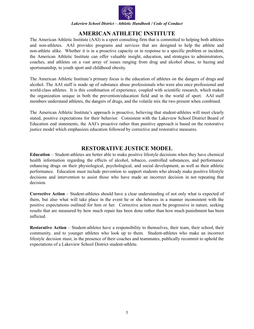

## **AMERICAN ATHLETIC INSTITUTE**

The American Athletic Institute (AAI) is a sport consulting firm that is committed to helping both athletes and non-athletes. AAI provides programs and services that are designed to help the athlete and non-athlete alike. Whether it is in a proactive capacity or in response to a specific problem or incident, the American Athletic Institute can offer valuable insight, education, and strategies to administrators, coaches, and athletes on a vast array of issues ranging from drug and alcohol abuse, to hazing and sportsmanship, to youth sport and childhood obesity.

The American Athletic Institute's primary focus is the education of athletes on the dangers of drugs and alcohol. The AAI staff is made up of substance abuse professionals who were also once professional and world-class athletes. It is this combination of experience, coupled with scientific research, which makes the organization unique in both the prevention/education field and in the world of sport. AAI staff members understand athletes, the dangers of drugs, and the volatile mix the two present when combined.

The American Athletic Institute's approach is proactive, believing that student-athletes will meet clearly stated, positive expectations for their behavior. Consistent with the Lakeview School District Board of Education end statements, the AAI's proactive rather than punitive approach is based on the restorative justice model which emphasizes education followed by corrective and restorative measures.

## **RESTORATIVE JUSTICE MODEL**

**Education** – Student-athletes are better able to make positive lifestyle decisions when they have chemical health information regarding the effects of alcohol, tobacco, controlled substances, and performance enhancing drugs on their physiological, psychological, and social development, as well as their athletic performance. Education must include prevention to support students who already make positive lifestyle decisions and intervention to assist those who have made an incorrect decision in not repeating that decision.

**Corrective Action** – Student-athletes should have a clear understanding of not only what is expected of them, but also what will take place in the event he or she behaves in a manner inconsistent with the positive expectations outlined for him or her. Corrective action must be progressive in nature, seeking results that are measured by how much repair has been done rather than how much punishment has been inflicted.

**Restorative Action** – Student-athletes have a responsibility to themselves, their team, their school, their community, and to younger athletes who look up to them. Student-athletes who make an incorrect lifestyle decision must, in the presence of their coaches and teammates, publically recommit to uphold the expectations of a Lakeview School District student-athlete.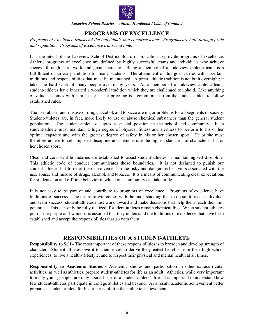

## **PROGRAMS OF EXCELLENCE**

*Programs of excellence transcend the individuals that comprise teams. Programs are built through pride and reputation. Programs of excellence transcend time.*

It is the intent of the Lakeview School District Board of Education to provide programs of excellence. Athletic programs of excellence are defined by highly successful teams and individuals who achieve success through hard work and great character. Being a member of a Lakeview athletic team is a fulfillment of an early ambition for many students. The attainment of this goal carries with it certain traditions and responsibilities that must be maintained. A great athletic tradition is not built overnight; it takes the hard work of many people over many years. As a member of a Lakeview athletic team, student-athletes have inherited a wonderful tradition which they are challenged to uphold. Like anything of value, it comes with a price tag. That price tag is a commitment from the student-athlete to follow established rules.

The use, abuse, and misuse of drugs, alcohol, and tobacco are major problems for all segments of society. Student-athletes are, in fact, more likely to use or abuse chemical substances than the general student population. The student-athlete occupies a special position in the school and community. Each student-athlete must maintain a high degree of physical fitness and alertness to perform to his or her optimal capacity and with the greatest degree of safety in his or her chosen sport. He or she must therefore adhere to self-imposed discipline and demonstrate the highest standards of character in his or her chosen sport.

Clear and consistent boundaries are established to assist student-athletes in maintaining self-discipline. This athletic code of conduct communicates those boundaries. It is not designed to punish our student-athletes but to deter their involvement in the risky and dangerous behaviors associated with the use, abuse, and misuse of drugs, alcohol, and tobacco. It is a means of communicating clear expectations for students' on and off field behavior in which our community can take pride.

It is not easy to be part of and contribute to programs of excellence. Programs of excellence have traditions of success. The desire to win comes with the understanding that to do so, to reach individual and team success, student-athletes must work toward and make decisions that help them reach their full potential. This can only be fully realized if student-athletes remain chemical free. When student-athletes put on the purple and white, it is assumed that they understand the traditions of excellence that have been established and accept the responsibilities that go with them.

## **RESPONSIBILITIES OF A STUDENT-ATHLETE**

**Responsibility to Self -** The most important of these responsibilities is to broaden and develop strength of character. Student-athletes owe it to themselves to derive the greatest benefits from their high school experiences, to live a healthy lifestyle, and to respect their physical and mental health at all times.

**Responsibility to Academic Studies -** Academic studies and participation in other extracurricular activities, as well as athletics, prepare student-athletes for life as an adult. Athletics, while very important to many young people, are only a small part of a student-athlete's life. It is important to understand how few student-athletes participate in college athletics and beyond. As a result, academic achievement better prepares a student-athlete for his or her adult life than athletic achievement.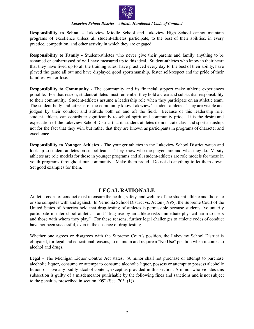

**Responsibility to School -** Lakeview Middle School and Lakeview High School cannot maintain programs of excellence unless all student-athletes participate, to the best of their abilities, in every practice, competition, and other activity in which they are engaged.

**Responsibility to Family -** Student-athletes who never give their parents and family anything to be ashamed or embarrassed of will have measured up to this ideal. Student-athletes who know in their heart that they have lived up to all the training rules, have practiced every day to the best of their ability, have played the game all out and have displayed good sportsmanship, foster self-respect and the pride of their families, win or lose.

**Responsibility to Community -** The community and its financial support make athletic experiences possible. For that reason, student-athletes must remember they hold a clear and substantial responsibility to their community. Student-athletes assume a leadership role when they participate on an athletic team. The student body and citizens of the community know Lakeview's student-athletes. They are visible and judged by their conduct and attitude both on and off the field. Because of this leadership role, student-athletes can contribute significantly to school spirit and community pride. It is the desire and expectation of the Lakeview School District that its student-athletes demonstrate class and sportsmanship, not for the fact that they win, but rather that they are known as participants in programs of character and excellence.

**Responsibility to Younger Athletes -** The younger athletes in the Lakeview School District watch and look up to student-athletes on school teams. They know who the players are and what they do. Varsity athletes are role models for those in younger programs and all student-athletes are role models for those in youth programs throughout our community. Make them proud. Do not do anything to let them down. Set good examples for them.

## **LEGAL RATIONALE**

Athletic codes of conduct exist to ensure the health, safety, and welfare of the student-athlete and those he or she competes with and against. In Vernonia School District vs. Acton (1995), the Supreme Court of the United States of America held that drug-testing of athletes is permissible because students "voluntarily participate in interschool athletics" and "drug use by an athlete risks immediate physical harm to users and those with whom they play." For these reasons, further legal challenges to athletic codes of conduct have not been successful, even in the absence of drug-testing.

Whether one agrees or disagrees with the Supreme Court's position, the Lakeview School District is obligated, for legal and educational reasons, to maintain and require a "No Use" position when it comes to alcohol and drugs.

Legal - The Michigan Liquor Control Act states, "A minor shall not purchase or attempt to purchase alcoholic liquor, consume or attempt to consume alcoholic liquor, possess or attempt to possess alcoholic liquor, or have any bodily alcohol content, except as provided in this section. A minor who violates this subsection is guilty of a misdemeanor punishable by the following fines and sanctions and is not subject to the penalties prescribed in section 909" (Sec. 703. (1)).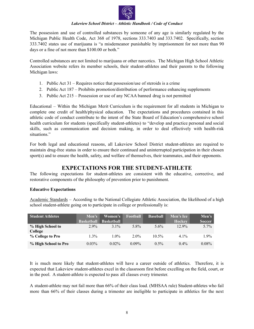

The possession and use of controlled substances by someone of any age is similarly regulated by the Michigan Public Health Code, Act 368 of 1978, sections 333.7403 and 333.7402. Specifically, section 333.7402 states use of marijuana is "a misdemeanor punishable by imprisonment for not more than 90 days or a fine of not more than \$100.00 or both."

Controlled substances are not limited to marijuana or other narcotics. The Michigan High School Athletic Association website refers its member schools, their student-athletes and their parents to the following Michigan laws:

- 1. Public Act 31 Requires notice that possession/use of steroids is a crime
- 2. Public Act 187 Prohibits promotion/distribution of performance enhancing supplements
- 3. Public Act 215 Possession or use of any NCAA banned drug is not permitted

Educational – Within the Michigan Merit Curriculum is the requirement for all students in Michigan to complete one credit of health/physical education. The expectations and procedures contained in this athletic code of conduct contribute to the intent of the State Board of Education's comprehensive school health curriculum for students (specifically student-athletes) to "develop and practice personal and social skills, such as communication and decision making, in order to deal effectively with health-risk situations."

For both legal and educational reasons, all Lakeview School District student-athletes are required to maintain drug-free status in order to ensure their continued and uninterrupted participation in their chosen sport(s) and to ensure the health, safety, and welfare of themselves, their teammates, and their opponents.

## **EXPECTATIONS FOR THE STUDENT-ATHLETE**

The following expectations for student-athletes are consistent with the educative, corrective, and restorative components of the philosophy of prevention prior to punishment.

#### **Educative Expectations**

Academic Standards – According to the National Collegiate Athletic Association, the likelihood of a high school student-athlete going on to participate in college or professionally is:

| <b>Student Athletes</b> | Men's             | Women's           | <b>Football</b> | <b>Baseball</b> | Men's Ice     | Men's         |
|-------------------------|-------------------|-------------------|-----------------|-----------------|---------------|---------------|
|                         | <b>Basketball</b> | <b>Basketball</b> |                 |                 | <b>Hockey</b> | <b>Soccer</b> |
| % High School to        | $2.9\%$           | $31\%$            | $5.8\%$         | $5.6\%$         | $12.9\%$      | $5.7\%$       |
| College                 |                   |                   |                 |                 |               |               |
| % College to Pro        | 1.3%              | $1.0\%$           | $2.0\%$         | $10.5\%$        | $41\%$        | $1.9\%$       |
| % High School to Pro    | $0.03\%$          | $0.02\%$          | $0.09\%$        | $0.5\%$         | $0.4\%$       | $0.08\%$      |

It is much more likely that student-athletes will have a career outside of athletics. Therefore, it is expected that Lakeview student-athletes excel in the classroom first before excelling on the field, court, or in the pool. A student-athlete is expected to pass all classes every trimester.

A student-athlete may not fail more than 66% of their class load. (MHSAA rule) Student-athletes who fail more than 66% of their classes during a trimester are ineligible to participate in athletics for the next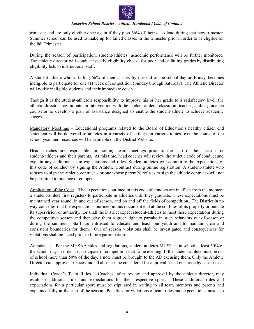

trimester and are only eligible once again if they pass 66% of their class load during that new trimester. Summer school can be used to make up for failed classes in the trimester prior in order to be eligible for the fall Trimester.

During the season of participation, student-athletes' academic performance will be further monitored. The athletic director will conduct weekly eligibility checks for poor and/or failing grades by distributing eligibility lists to instructional staff.

A student-athlete who is failing 66% of their classes by the end of the school day on Friday, becomes ineligible to participate for one (1) week of competition (Sunday through Saturday). The Athletic Director will notify ineligible students and their immediate coach.

Though it is the student-athlete's responsibility to improve his or her grade to a satisfactory level, the athletic director may initiate an intervention with the student-athlete, classroom teacher, and/or guidance counselor to develop a plan of assistance designed to enable the student-athlete to achieve academic success.

Mandatory Meetings – Educational programs related to the Board of Education's healthy citizen end statement will be delivered to athletes in a variety of settings on various topics over the course of the school year, and resources will be available on the District Website.

Head coaches are responsible for holding team meetings prior to the start of their season for student-athletes and their parents. At this time, head coaches will review the athletic code of conduct and explain any additional team expectations and rules. Student-athletes will commit to the expectations of this code of conduct by signing the Athletic Contract during online registration. A student-athlete who refuses to sign the athletic contract – or one whose parent(s) refuses to sign the athletic contract - will not be permitted to practice or compete.

Application of the Code – The expectations outlined in this code of conduct are in effect from the moment a student-athlete first registers to participate in athletics until they graduate. These expectations must be maintained year round, in and out of season, and on and off the fields of competition. The District in no way concedes that the expectations outlined in this document end at the confines of its property or outside its supervision or authority, nor shall the District expect student-athletes to meet these expectations during the competitive season and then give them a green light to partake in such behaviors out of season or during the summer. Staff are entrusted to educate and teach our youth and to maintain clear and consistent boundaries for them. Out of season violations shall be investigated and consequences for violations shall be faced prior to future participation.

Attendance – Per the MHSAA rules and regulations, student-athletes MUST be in school at least 50% of the school day in order to participate in competition that same evening. If the student-athlete must be out of school more than 50% of the day, a note must be brought to the AD excusing them. Only the Athletic Director can approve absences and all absences be considered for approval based on a case by case basis.

Individual Coach's Team Rules – Coaches, after review and approval by the athletic director, may establish additional rules and expectations for their respective sports. These additional rules and expectations for a particular sport must be stipulated in writing to all team members and parents and explained fully at the start of the season. Penalties for violations of team rules and expectations must also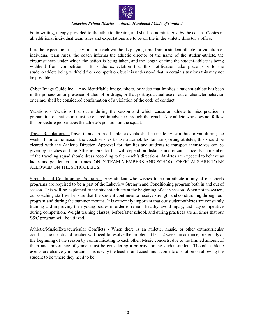

be in writing, a copy provided to the athletic director, and shall be administered by the coach. Copies of all additional individual team rules and expectations are to be on file in the athletic director's office.

It is the expectation that, any time a coach withholds playing time from a student-athlete for violation of individual team rules, the coach informs the athletic director of the name of the student-athlete, the circumstances under which the action is being taken, and the length of time the student-athlete is being withheld from competition. It is the expectation that this notification take place prior to the student-athlete being withheld from competition, but it is understood that in certain situations this may not be possible.

Cyber Image Guideline – Any identifiable image, photo, or video that implies a student-athlete has been in the possession or presence of alcohol or drugs, or that portrays actual use or out of character behavior or crime, shall be considered confirmation of a violation of the code of conduct.

Vacations - Vacations that occur during the season and which cause an athlete to miss practice in preparation of that sport must be cleared in advance through the coach. Any athlete who does not follow this procedure jeopardizes the athlete's position on the squad.

Travel Regulations - Travel to and from all athletic events shall be made by team bus or van during the week. If for some reason the coach wishes to use automobiles for transporting athletes, this should be cleared with the Athletic Director. Approval for families and students to transport themselves can be given by coaches and the Athletic Director but will depend on distance and circumstance. Each member of the traveling squad should dress according to the coach's directions. Athletes are expected to behave as ladies and gentlemen at all times. ONLY TEAM MEMBERS AND SCHOOL OFFICIALS ARE TO BE ALLOWED ON THE SCHOOL BUS.

Strength and Conditioning Program  $-$  Any student who wishes to be an athlete in any of our sports programs are required to be a part of the Lakeview Strength and Conditioning program both in and out of season. This will be explained to the student-athlete at the beginning of each season. When not in-season, our coaching staff will ensure that the student continues to receive strength and conditioning through our program and during the summer months. It is extremely important that our student-athletes are constantly training and improving their young bodies in order to remain healthy, avoid injury, and stay competitive during competition. Weight training classes, before/after school, and during practices are all times that our S&C program will be utilized.

Athletic/Music/Extracurricular Conflicts - When there is an athletic, music, or other extracurricular conflict, the coach and teacher will need to resolve the problem at least 2 weeks in advance, preferably at the beginning of the season by communicating to each other. Music concerts, due to the limited amount of them and importance of grade, must be considering a priority for the student-athlete. Though, athletic events are also very important. This is why the teacher and coach must come to a solution on allowing the student to be where they need to be.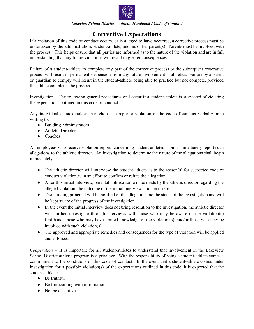

## **Corrective Expectations**

If a violation of this code of conduct occurs, or is alleged to have occurred, a corrective process must be undertaken by the administration, student-athlete, and his or her parent(s). Parents must be involved with the process. This helps ensure that all parties are informed as to the nature of the violation and are in full understanding that any future violations will result in greater consequences.

Failure of a student-athlete to complete any part of the corrective process or the subsequent restorative process will result in permanent suspension from any future involvement in athletics. Failure by a parent or guardian to comply will result in the student-athlete being able to practice but not compete, provided the athlete completes the process.

Investigation – The following general procedures will occur if a student-athlete is suspected of violating the expectations outlined in this code of conduct:

Any individual or stakeholder may choose to report a violation of the code of conduct verbally or in writing to:

- Building Administrators
- Athletic Director
- Coaches

All employees who receive violation reports concerning student-athletes should immediately report such allegations to the athletic director. An investigation to determine the nature of the allegations shall begin immediately.

- The athletic director will interview the student-athlete as to the reason(s) for suspected code of conduct violation(s) in an effort to confirm or refute the allegation.
- After this initial interview, parental notification will be made by the athletic director regarding the alleged violation, the outcome of the initial interview, and next steps.
- The building principal will be notified of the allegation and the status of the investigation and will be kept aware of the progress of the investigation.
- In the event the initial interview does not bring resolution to the investigation, the athletic director will further investigate through interviews with those who may be aware of the violation(s) first-hand, those who may have limited knowledge of the violation(s), and/or those who may be involved with such violation(s).
- The approved and appropriate remedies and consequences for the type of violation will be applied and enforced.

*Cooperation* – It is important for all student-athletes to understand that involvement in the Lakeview School District athletic program is a privilege. With the responsibility of being a student-athlete comes a commitment to the conditions of this code of conduct. In the event that a student-athlete comes under investigation for a possible violation(s) of the expectations outlined in this code, it is expected that the student-athlete:

- Be truthful
- Be forthcoming with information
- Not be deceptive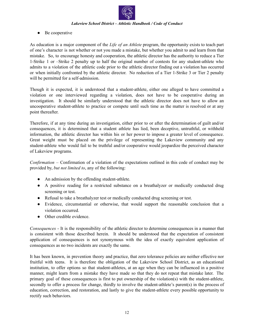

• Be cooperative

As education is a major component of the *Life of an Athlete* program, the opportunity exists to teach part of one's character is not whether or not you made a mistake, but whether you admit to and learn from that mistake. So, to encourage honesty and cooperation, the athletic director has the authority to reduce a Tier 1-Strike 1 or –Strike 2 penalty up to half the original number of contests for any student-athlete who admits to a violation of the athletic code prior to the athletic director finding out a violation has occurred or when initially confronted by the athletic director. No reduction of a Tier 1-Strike 3 or Tier 2 penalty will be permitted for a self-admission.

Though it is expected, it is understood that a student-athlete, either one alleged to have committed a violation or one interviewed regarding a violation, does not have to be cooperative during an investigation. It should be similarly understood that the athletic director does not have to allow an uncooperative student-athlete to practice or compete until such time as the matter is resolved or at any point thereafter.

Therefore, if at any time during an investigation, either prior to or after the determination of guilt and/or consequences, it is determined that a student athlete has lied, been deceptive, untruthful, or withheld information, the athletic director has within his or her power to impose a greater level of consequence. Great weight must be placed on the privilege of representing the Lakeview community and any student-athlete who would fail to be truthful and/or cooperative would jeopardize the perceived character of Lakeview programs.

*Confirmation* – Confirmation of a violation of the expectations outlined in this code of conduct may be provided by, *but not limited to*, any of the following:

- An admission by the offending student-athlete.
- A positive reading for a restricted substance on a breathalyzer or medically conducted drug screening or test.
- Refusal to take a breathalyzer test or medically conducted drug screening or test.
- Evidence, circumstantial or otherwise, that would support the reasonable conclusion that a violation occurred.
- Other credible evidence.

*Consequences* - It is the responsibility of the athletic director to determine consequences in a manner that is consistent with those described herein. It should be understood that the expectation of consistent application of consequences is not synonymous with the idea of exactly equivalent application of consequences as no two incidents are exactly the same.

It has been known, in prevention theory and practice, that zero tolerance policies are neither effective nor fruitful with teens. It is therefore the obligation of the Lakeview School District, as an educational institution, to offer options so that student-athletes, at an age when they can be influenced in a positive manner, might learn from a mistake they have made so that they do not repeat that mistake later. The primary goal of these consequences is first to put ownership of the violation(s) with the student-athlete, secondly to offer a process for change, thirdly to involve the student-athlete's parent(s) in the process of education, correction, and restoration, and lastly to give the student-athlete every possible opportunity to rectify such behaviors.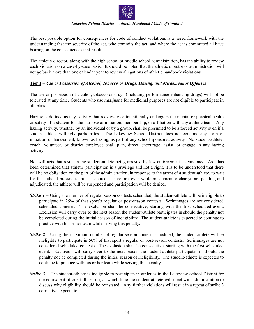

The best possible option for consequences for code of conduct violations is a tiered framework with the understanding that the severity of the act, who commits the act, and where the act is committed all have bearing on the consequences that result.

The athletic director, along with the high school or middle school administration, has the ability to review each violation on a case-by-case basis. It should be noted that the athletic director or administration will not go back more than one calendar year to review allegations of athletic handbook violations.

#### **Tier 1 –** *Use or Possession of Alcohol, Tobacco or Drugs, Hazing, and Misdemeanor Of enses*

The use or possession of alcohol, tobacco or drugs (including performance enhancing drugs) will not be tolerated at any time. Students who use marijuana for medicinal purposes are not eligible to participate in athletics.

Hazing is defined as any activity that recklessly or intentionally endangers the mental or physical health or safety of a student for the purpose of initiation, membership, or affiliation with any athletic team. Any hazing activity, whether by an individual or by a group, shall be presumed to be a forced activity even if a student-athlete willingly participates. The Lakeview School District does not condone any form of initiation or harassment, known as hazing, as part of any school sponsored activity. No student-athlete, coach, volunteer, or district employee shall plan, direct, encourage, assist, or engage in any hazing activity.

Nor will acts that result in the student-athlete being arrested by law enforcement be condoned. As it has been determined that athletic participation is a privilege and not a right, it is to be understood that there will be no obligation on the part of the administration, in response to the arrest of a student-athlete, to wait for the judicial process to run its course. Therefore, even while misdemeanor charges are pending and adjudicated, the athlete will be suspended and participation will be denied.

- *Strike*  $1$  Using the number of regular season contests scheduled, the student-athlete will be ineligible to participate in 25% of that sport's regular or post-season contests. Scrimmages are not considered scheduled contests. The exclusion shall be consecutive, starting with the first scheduled event. Exclusion will carry over to the next season the student-athlete participates in should the penalty not be completed during the initial season of ineligibility. The student-athlete is expected to continue to practice with his or her team while serving this penalty.
- *Strike 2* Using the maximum number of regular season contests scheduled, the student-athlete will be ineligible to participate in 50% of that sport's regular or post-season contests. Scrimmages are not considered scheduled contests. The exclusion shall be consecutive, starting with the first scheduled event. Exclusion will carry over to the next season the student-athlete participates in should the penalty not be completed during the initial season of ineligibility. The student-athlete is expected to continue to practice with his or her team while serving this penalty.
- *Strike 3* The student-athlete is ineligible to participate in athletics in the Lakeview School District for the equivalent of one full season, at which time the student-athlete will meet with administration to discuss why eligibility should be reinstated. Any further violations will result in a repeat of strike 3 corrective expectations.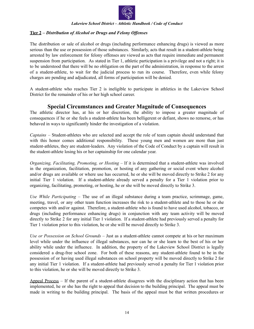

#### **Tier 2 –** *Distribution of Alcohol or Drugs and Felony Of enses*

The distribution or sale of alcohol or drugs (including performance enhancing drugs) is viewed as more serious than the use or possession of those substances. Similarly, acts that result in a student-athlete being arrested by law enforcement for felony offenses are viewed as acts that require immediate and permanent suspension from participation. As stated in Tier 1, athletic participation is a privilege and not a right; it is to be understood that there will be no obligation on the part of the administration, in response to the arrest of a student-athlete, to wait for the judicial process to run its course. Therefore, even while felony charges are pending and adjudicated, all forms of participation will be denied.

A student-athlete who reaches Tier 2 is ineligible to participate in athletics in the Lakeview School District for the remainder of his or her high school career.

## **Special Circumstances and Greater Magnitude of Consequences**

The athletic director has, at his or her discretion, the ability to impose a greater magnitude of consequences if he or she feels a student-athlete has been belligerent or defiant, shows no remorse, or has behaved in ways to significantly hinder the investigation of a violation.

*Captains –* Student-athletes who are selected and accept the role of team captain should understand that with this honor comes additional responsibility. These young men and women are more than just student-athletes, they are student-leaders. Any violation of the Code of Conduct by a captain will result in the student-athlete losing his or her captainship for one calendar year.

*Organizing, Facilitating, Promoting, or Hosting –* If it is determined that a student-athlete was involved in the organization, facilitation, promotion, or hosting of any gathering or social event where alcohol and/or drugs are available or where use has occurred, he or she will be moved directly to Strike 2 for any initial Tier 1 violation. If a student-athlete already served a penalty for a Tier 1 violation prior to organizing, facilitating, promoting, or hosting, he or she will be moved directly to Strike 3.

*Use While Participating –* The use of an illegal substance during a team practice, scrimmage, game, meeting, travel, or any other team function increases the risk to a student-athlete and to those he or she competes with and/or against. Therefore, a student-athlete who is found to have used alcohol, tobacco, or drugs (including performance enhancing drugs) in conjunction with any team activity will be moved directly to Strike 2 for any initial Tier 1 violation. If a student-athlete had previously served a penalty for Tier 1 violation prior to this violation, he or she will be moved directly to Strike 3.

*Use or Possession on School Grounds –* Just as a student-athlete cannot compete at his or her maximum level while under the influence of illegal substances, nor can he or she learn to the best of his or her ability while under the influence. In addition, the property of the Lakeview School District is legally considered a drug-free school zone. For both of these reasons, any student-athlete found to be in the possession of or having used illegal substances on school property will be moved directly to Strike 2 for any initial Tier 1 violation. If a student-athlete had previously served a penalty for Tier 1 violation prior to this violation, he or she will be moved directly to Strike 3.

Appeal Process – If the parent of a student-athlete disagrees with the disciplinary action that has been implemented, he or she has the right to appeal that decision to the building principal. The appeal must be made in writing to the building principal. The basis of the appeal must be that written procedures or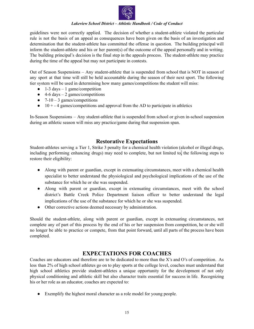

guidelines were not correctly applied. The decision of whether a student-athlete violated the particular rule is not the basis of an appeal as consequences have been given on the basis of an investigation and determination that the student-athlete has committed the offense in question. The building principal will inform the student-athlete and his or her parent(s) of the outcome of the appeal personally and in writing. The building principal's decision is the final step in the appeals process. The student-athlete may practice during the time of the appeal but may not participate in contests.

Out of Season Suspensions – Any student-athlete that is suspended from school that is NOT in season of any sport at that time will still be held accountable during the season of their next sport. The following tier system will be used in determining how many games/competitions the student will miss:

- $\bullet$  1-3 days 1 game/competition
- $\bullet$  4-6 days 2 games/competitions
- $\bullet$  7-10 3 games/competitions
- $\bullet$  10 + 4 games/competitions and approval from the AD to participate in athletics

In-Season Suspensions – Any student-athlete that is suspended from school or given in-school suspension during an athletic season will miss any practice/game during that suspension span.

## **Restorative Expectations**

Student-athletes serving a Tier 1, Strike 3 penalty for a chemical health violation (alcohol or illegal drugs, including performing enhancing drugs) may need to complete, but not limited to, the following steps to restore their eligibility:

- Along with parent or guardian, except in extenuating circumstances, meet with a chemical health specialist to better understand the physiological and psychological implications of the use of the substance for which he or she was suspended.
- Along with parent or guardian, except in extenuating circumstances, meet with the school district's Battle Creek Police Department liaison officer to better understand the legal implications of the use of the substance for which he or she was suspended.
- Other corrective actions deemed necessary by administration.

Should the student-athlete, along with parent or guardian, except in extenuating circumstances, not complete any of part of this process by the end of his or her suspension from competition, he or she will no longer be able to practice or compete, from that point forward, until all parts of the process have been completed.

## **EXPECTATIONS FOR COACHES**

Coaches are educators and therefore are to be dedicated to more than the X's and O's of competition. As less than 2% of high school athletes go on to play sports at the college level, coaches must understand that high school athletics provide student-athletes a unique opportunity for the development of not only physical conditioning and athletic skill but also character traits essential for success in life. Recognizing his or her role as an educator, coaches are expected to:

● Exemplify the highest moral character as a role model for young people.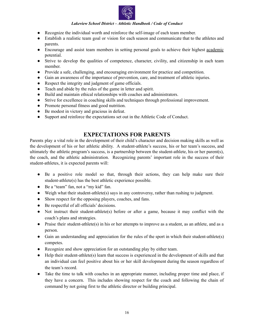

- Recognize the individual worth and reinforce the self-image of each team member.
- Establish a realistic team goal or vision for each season and communicate that to the athletes and parents.
- Encourage and assist team members in setting personal goals to achieve their highest <u>academic</u> potential.
- Strive to develop the qualities of competence, character, civility, and citizenship in each team member.
- Provide a safe, challenging, and encouraging environment for practice and competition.
- Gain an awareness of the importance of prevention, care, and treatment of athletic injuries.
- Respect the integrity and judgment of game officials.
- Teach and abide by the rules of the game in letter and spirit.
- Build and maintain ethical relationships with coaches and administrators.
- Strive for excellence in coaching skills and techniques through professional improvement.
- Promote personal fitness and good nutrition.
- Be modest in victory and gracious in defeat.
- Support and reinforce the expectations set out in the Athletic Code of Conduct.

## **EXPECTATIONS FOR PARENTS**

Parents play a vital role in the development of their child's character and decision making skills as well as the development of his or her athletic ability. A student-athlete's success, his or her team's success, and ultimately the athletic program's success, is a partnership between the student-athlete, his or her parent(s), the coach, and the athletic administration. Recognizing parents' important role in the success of their student-athletes, it is expected parents will:

- Be a positive role model so that, through their actions, they can help make sure their student-athlete(s) has the best athletic experience possible.
- Be a "team" fan, not a "my kid" fan.
- Weigh what their student-athlete(s) says in any controversy, rather than rushing to judgment.
- Show respect for the opposing players, coaches, and fans.
- Be respectful of all officials' decisions.
- Not instruct their student-athlete(s) before or after a game, because it may conflict with the coach's plans and strategies.
- Praise their student-athlete(s) in his or her attempts to improve as a student, as an athlete, and as a person.
- Gain an understanding and appreciation for the rules of the sport in which their student-athlete(s) competes.
- Recognize and show appreciation for an outstanding play by either team.
- Help their student-athlete(s) learn that success is experienced in the development of skills and that an individual can feel positive about his or her skill development during the season regardless of the team's record.
- Take the time to talk with coaches in an appropriate manner, including proper time and place, if they have a concern. This includes showing respect for the coach and following the chain of command by not going first to the athletic director or building principal.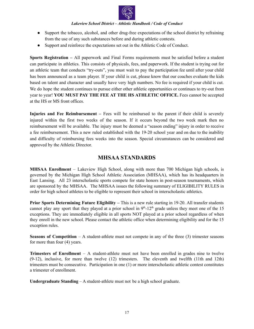

- Support the tobacco, alcohol, and other drug-free expectations of the school district by refraining from the use of any such substances before and during athletic contests.
- Support and reinforce the expectations set out in the Athletic Code of Conduct.

**Sports Registration –** All paperwork and Final Forms requirements must be satisfied before a student can participate in athletics. This consists of physicals, fees, and paperwork. If the student is trying out for an athletic team that conducts "try-outs", you must wait to pay the participation fee until after your child has been announced as a team player. If your child is cut, please know that our coaches evaluate the kids based on talent and character and usually have very high numbers. No fee is required if your child is cut. We do hope the student continues to pursue either other athletic opportunities or continues to try-out from year to year! **YOU MUST PAY THE FEE AT THE HS ATHLETIC OFFICE.** Fees cannot be accepted at the HS or MS front offices.

**Injuries and Fee Reimbursement –** Fees will be reimbursed to the parent if their child is severely injured within the first two weeks of the season. If it occurs beyond the two week mark then no reimbursement will be available. The injury must be deemed a "season ending" injury in order to receive a fee reimbursement. This a new ruled established with the 19-20 school year and on due to the inability and difficulty of reimbursing fees weeks into the season. Special circumstances can be considered and approved by the Athletic Director.

## **MHSAA STANDARDS**

**MHSAA Enrollment** – Lakeview High School, along with more than 700 Michigan high schools, is governed by the Michigan High School Athletic Association (MHSAA), which has its headquarters in East Lansing. All 23 interscholastic sports compete for state honors in post-season tournaments, which are sponsored by the MHSAA. The MHSAA issues the following summary of ELIGIBILITY RULES in order for high school athletes to be eligible to represent their school in interscholastic athletics.

**Prior Sports Determining Future Eligibility –** This is a new rule starting in 19-20. All transfer students cannot play any sport that they played at a prior school in  $9<sup>th</sup>$ -12<sup>th</sup> grade unless they meet one of the 15 exceptions. They are immediately eligible in all sports NOT played at a prior school regardless of when they enroll in the new school. Please contact the athletic office when determining eligibility and for the 15 exception rules.

**Seasons of Competition** – A student-athlete must not compete in any of the three (3) trimester seasons for more than four (4) years.

**Trimesters of Enrollment** – A student-athlete must not have been enrolled in grades nine to twelve (9-12), inclusive, for more than twelve (12) trimesters. The eleventh and twelfth (11th and 12th) trimesters must be consecutive. Participation in one (1) or more interscholastic athletic contest constitutes a trimester of enrollment.

**Undergraduate Standing** – A student-athlete must not be a high school graduate.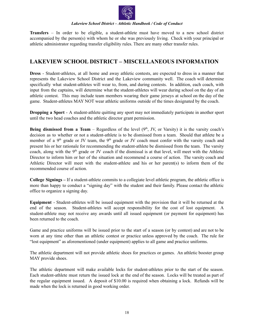

**Transfers** – In order to be eligible, a student-athlete must have moved to a new school district accompanied by the person(s) with whom he or she was previously living. Check with your principal or athletic administrator regarding transfer eligibility rules. There are many other transfer rules.

## **LAKEVIEW SCHOOL DISTRICT – MISCELLANEOUS INFORMATION**

**Dress** - Student-athletes, at all home and away athletic contests, are expected to dress in a manner that represents the Lakeview School District and the Lakeview community well. The coach will determine specifically what student-athletes will wear to, from, and during contests. In addition, each coach, with input from the captains, will determine what the student-athletes will wear during school on the day of an athletic contest. This may include team members wearing their game jerseys at school on the day of the game. Student-athletes MAY NOT wear athletic uniforms outside of the times designated by the coach.

**Dropping a Sport** - A student-athlete quitting any sport may not immediately participate in another sport until the two head coaches and the athletic director grant permission.

**Being dismissed from a Team** – Regardless of the level  $(9<sup>th</sup>, JV, or Varsity)$  it is the varsity coach's decision as to whether or not a student-athlete is to be dismissed from a team. Should that athlete be a member of a  $9<sup>th</sup>$  grade or JV team, the  $9<sup>th</sup>$  grade or JV coach must confer with the varsity coach and present his or her rationale for recommending the student-athlete be dismissed from the team. The varsity coach, along with the  $9<sup>th</sup>$  grade or JV coach if the dismissal is at that level, will meet with the Athletic Director to inform him or her of the situation and recommend a course of action. The varsity coach and Athletic Director will meet with the student-athlete and his or her parent(s) to inform them of the recommended course of action.

**College Signings –** If a student-athlete commits to a collegiate level athletic program, the athletic office is more than happy to conduct a "signing day" with the student and their family. Please contact the athletic office to organize a signing day.

**Equipment** - Student-athletes will be issued equipment with the provision that it will be returned at the end of the season. Student-athletes will accept responsibility for the cost of lost equipment. A student-athlete may not receive any awards until all issued equipment (or payment for equipment) has been returned to the coach.

Game and practice uniforms will be issued prior to the start of a season (or by contest) and are not to be worn at any time other than an athletic contest or practice unless approved by the coach. The rule for "lost equipment" as aforementioned (under equipment) applies to all game and practice uniforms.

The athletic department will not provide athletic shoes for practices or games. An athletic booster group MAY provide shoes.

The athletic department will make available locks for student-athletes prior to the start of the season. Each student-athlete must return the issued lock at the end of the season. Locks will be treated as part of the regular equipment issued. A deposit of \$10.00 is required when obtaining a lock. Refunds will be made when the lock is returned in good working order.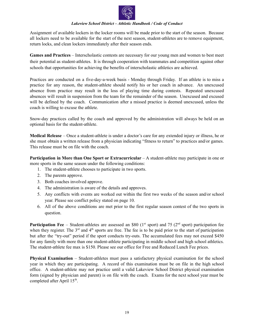

Assignment of available lockers in the locker rooms will be made prior to the start of the season. Because all lockers need to be available for the start of the next season, student-athletes are to remove equipment, return locks, and clean lockers immediately after their season ends.

**Games and Practices** – Interscholastic contests are necessary for our young men and women to best meet their potential as student-athletes. It is through cooperation with teammates and competition against other schools that opportunities for achieving the benefits of interscholastic athletics are achieved.

Practices are conducted on a five-day-a-week basis - Monday through Friday. If an athlete is to miss a practice for any reason, the student-athlete should notify his or her coach in advance. An unexcused absence from practice may result in the loss of playing time during contests. Repeated unexcused absences will result in suspension from the team for the remainder of the season. Unexcused and excused will be defined by the coach. Communication after a missed practice is deemed unexcused, unless the coach is willing to excuse the athlete.

Snow-day practices called by the coach and approved by the administration will always be held on an optional basis for the student-athlete.

**Medical Release** – Once a student-athlete is under a doctor's care for any extended injury or illness, he or she must obtain a written release from a physician indicating "fitness to return" to practices and/or games. This release must be on file with the coach.

**Participation in More than One Sport or Extracurricular** – A student-athlete may participate in one or more sports in the same season under the following conditions:

- 1. The student-athlete chooses to participate in two sports.
- 2. The parents approve.
- 3. Both coaches involved approve.
- 4. The administration is aware of the details and approves.
- 5. Any conflicts with events are worked out within the first two weeks of the season and/or school year. Please see conflict policy stated on page 10.
- 6. All of the above conditions are met prior to the first regular season contest of the two sports in question.

**Participation Fee** – Student-athletes are assessed an \$80 ( $1<sup>st</sup>$  sport) and 75 ( $2<sup>nd</sup>$  sport) participation fee when they register. The  $3<sup>rd</sup>$  and  $4<sup>th</sup>$  sports are free. The fee is to be paid prior to the start of participation but after the "try-out" period if the sport conducts try-outs. The accumulated fees may not exceed \$450 for any family with more than one student-athlete participating in middle school and high school athletics. The student-athlete fee max is \$150. Please see our office for Free and Reduced Lunch Fee prices.

**Physical Examination** – Student-athletes must pass a satisfactory physical examination for the school year in which they are participating. A record of this examination must be on file in the high school office. A student-athlete may not practice until a valid Lakeview School District physical examination form (signed by physician and parent) is on file with the coach. Exams for the next school year must be completed after April 15<sup>th</sup>.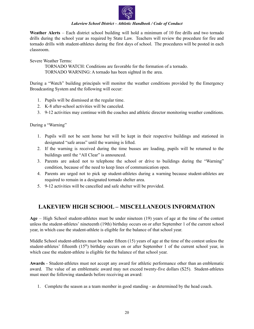

**Weather Alerts** – Each district school building will hold a minimum of 10 fire drills and two tornado drills during the school year as required by State Law. Teachers will review the procedure for fire and tornado drills with student-athletes during the first days of school. The procedures will be posted in each classroom.

Severe Weather Terms:

TORNADO WATCH: Conditions are favorable for the formation of a tornado. TORNADO WARNING: A tornado has been sighted in the area.

During a "Watch" building principals will monitor the weather conditions provided by the Emergency Broadcasting System and the following will occur:

- 1. Pupils will be dismissed at the regular time.
- 2. K-8 after-school activities will be canceled.
- 3. 9-12 activities may continue with the coaches and athletic director monitoring weather conditions.

During a "Warning"

- 1. Pupils will not be sent home but will be kept in their respective buildings and stationed in designated "safe areas" until the warning is lifted.
- 2. If the warning is received during the time busses are loading, pupils will be returned to the buildings until the "All Clear" is announced.
- 3. Parents are asked not to telephone the school or drive to buildings during the "Warning" condition, because of the need to keep lines of communication open.
- 4. Parents are urged not to pick up student-athletes during a warning because student-athletes are required to remain in a designated tornado shelter area.
- 5. 9-12 activities will be cancelled and safe shelter will be provided.

## **LAKEVIEW HIGH SCHOOL – MISCELLANEOUS INFORMATION**

**Age** – High School student-athletes must be under nineteen (19) years of age at the time of the contest unless the student-athletes' nineteenth (19th) birthday occurs on or after September 1 of the current school year, in which case the student-athlete is eligible for the balance of that school year.

Middle School student-athletes must be under fifteen (15) years of age at the time of the contest unless the student-athletes' fifteenth (15<sup>th</sup>) birthday occurs on or after September 1 of the current school year, in which case the student-athlete is eligible for the balance of that school year.

**Awards** - Student-athletes must not accept any award for athletic performance other than an emblematic award. The value of an emblematic award may not exceed twenty-five dollars (\$25). Student-athletes must meet the following standards before receiving an award:

1. Complete the season as a team member in good standing - as determined by the head coach.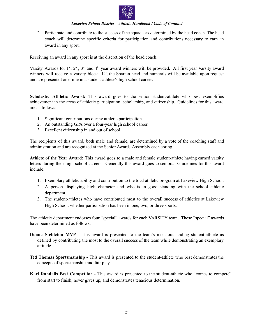

2. Participate and contribute to the success of the squad - as determined by the head coach. The head coach will determine specific criteria for participation and contributions necessary to earn an award in any sport.

Receiving an award in any sport is at the discretion of the head coach.

Varsity Awards for  $1<sup>st</sup>$ ,  $2<sup>nd</sup>$ ,  $3<sup>rd</sup>$  and  $4<sup>th</sup>$  year award winners will be provided. All first year Varsity award winners will receive a varsity block "L", the Spartan head and numerals will be available upon request and are presented one time in a student-athlete's high school career.

**Scholastic Athletic Award:** This award goes to the senior student-athlete who best exemplifies achievement in the areas of athletic participation, scholarship, and citizenship. Guidelines for this award are as follows:

- 1. Significant contributions during athletic participation.
- 2. An outstanding GPA over a four-year high school career.
- 3. Excellent citizenship in and out of school.

The recipients of this award, both male and female, are determined by a vote of the coaching staff and administration and are recognized at the Senior Awards Assembly each spring.

**Athlete of the Year Award:** This award goes to a male and female student-athlete having earned varsity letters during their high school careers. Generally this award goes to seniors. Guidelines for this award include:

- 1. Exemplary athletic ability and contribution to the total athletic program at Lakeview High School.
- 2. A person displaying high character and who is in good standing with the school athletic department.
- 3. The student-athletes who have contributed most to the overall success of athletics at Lakeview High School, whether participation has been in one, two, or three sports.

The athletic department endorses four "special" awards for each VARSITY team. These "special" awards have been determined as follows:

- **Duane Stebleton MVP -** This award is presented to the team's most outstanding student-athlete as defined by contributing the most to the overall success of the team while demonstrating an exemplary attitude.
- **Ted Thomas Sportsmanship -** This award is presented to the student-athlete who best demonstrates the concepts of sportsmanship and fair play.
- **Karl Randalls Best Competitor -** This award is presented to the student-athlete who "comes to compete" from start to finish, never gives up, and demonstrates tenacious determination.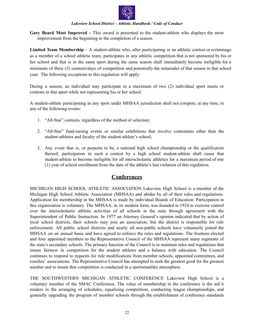

**Gary Beard Most Improved -** This award is presented to the student-athlete who displays the most improvement from the beginning to the completion of a season.

**Limited Team Membership** – A student-athlete who, after participating in an athletic contest or scrimmage as a member of a school athletic team, participates in any athletic competition that is not sponsored by his or her school and that is in the same sport during the same season shall immediately become ineligible for a minimum of three (3) contests/days of competition and potentially the remainder of that season in that school year. The following exceptions to this regulation will apply:

During a season, an individual may participate in a maximum of two (2) individual sport meets or contests in that sport while not representing his or her school.

A student-athlete participating in any sport under MHSAA jurisdiction shall not compete, at any time, in any of the following events:

- 1. "All-Star" contests, regardless of the method of selection;
- 2. "All-Star" fund-raising events or similar exhibitions that involve contestants other than the student-athletes and faculty of the student-athlete's school;
- 3. Any event that is, or purports to be, a national high school championship or the qualification thereof; participation in such a contest by a high school student-athlete shall cause that student-athlete to become ineligible for all interscholastic athletics for a maximum period of one (1) year of school enrollment from the date of the athlete's last violation of this regulation.

## **Conferences**

MICHIGAN HIGH SCHOOL ATHLETIC ASSOCIATION Lakeview High School is a member of the Michigan High School Athletic Association (MHSAA) and abides by all of their rules and regulations. Application for membership in the MHSAA is made by individual Boards of Education. Participation in this organization is voluntary. The MHSAA, in its modern form, was founded in 1924 to exercise control over the interscholastic athletic activities of all schools in the state through agreement with the Superintendent of Public Instruction. In 1977 an Attorney General's opinion indicated that by action of local school districts, their schools may join an association, but the district is responsible for rule enforcement. All public school districts and nearly all non-public schools have voluntarily joined the MHSAA on an annual basis and have agreed to enforce the rules and regulations. The fourteen elected and four appointed members to the Representative Council of the MHSAA represent many segments of the state's secondary schools. The primary function of the Council is to maintain rules and regulations that insure fairness in competition for the student athletes and a balance with education. The Council continues to respond to requests for rule modifications from member schools, appointed committees, and coaches' associations. The Representative Council has attempted to seek the greatest good for the greatest number and to insure that competition is conducted in a sportsmanlike atmosphere.

THE SOUTHWESTERN MICHIGAN ATHLETIC CONFERENCE Lakeview High School is a voluntary member of the SMAC Conference. The value of membership in the conference is the aid it renders in the arranging of schedules, equalizing competition, conducting league championships, and generally upgrading the program of member schools through the establishment of conference standards